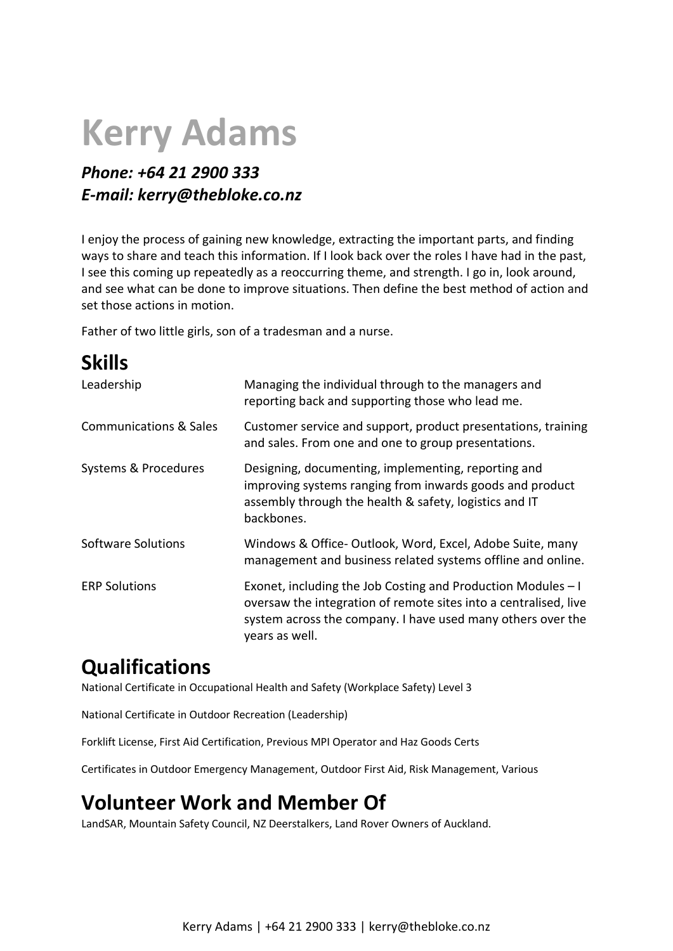# **Kerry Adams**

## *Phone: +64 21 2900 333 E-mail: kerry@thebloke.co.nz*

I enjoy the process of gaining new knowledge, extracting the important parts, and finding ways to share and teach this information. If I look back over the roles I have had in the past, I see this coming up repeatedly as a reoccurring theme, and strength. I go in, look around, and see what can be done to improve situations. Then define the best method of action and set those actions in motion.

Father of two little girls, son of a tradesman and a nurse.

| <b>Skills</b>                     |                                                                                                                                                                                                                   |
|-----------------------------------|-------------------------------------------------------------------------------------------------------------------------------------------------------------------------------------------------------------------|
| Leadership                        | Managing the individual through to the managers and<br>reporting back and supporting those who lead me.                                                                                                           |
| <b>Communications &amp; Sales</b> | Customer service and support, product presentations, training<br>and sales. From one and one to group presentations.                                                                                              |
| Systems & Procedures              | Designing, documenting, implementing, reporting and<br>improving systems ranging from inwards goods and product<br>assembly through the health & safety, logistics and IT<br>backbones.                           |
| Software Solutions                | Windows & Office-Outlook, Word, Excel, Adobe Suite, many<br>management and business related systems offline and online.                                                                                           |
| <b>ERP Solutions</b>              | Exonet, including the Job Costing and Production Modules - I<br>oversaw the integration of remote sites into a centralised, live<br>system across the company. I have used many others over the<br>years as well. |

# **Qualifications**

National Certificate in Occupational Health and Safety (Workplace Safety) Level 3

National Certificate in Outdoor Recreation (Leadership)

Forklift License, First Aid Certification, Previous MPI Operator and Haz Goods Certs

Certificates in Outdoor Emergency Management, Outdoor First Aid, Risk Management, Various

# **Volunteer Work and Member Of**

LandSAR, Mountain Safety Council, NZ Deerstalkers, Land Rover Owners of Auckland.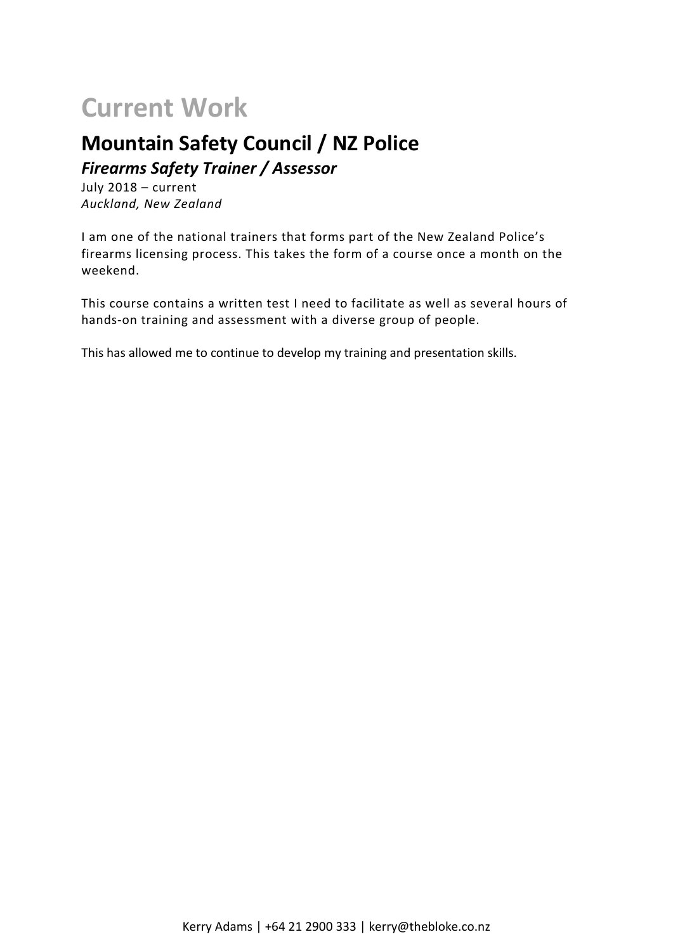# **Current Work**

# **Mountain Safety Council / NZ Police**

*Firearms Safety Trainer / Assessor*

July 2018 – current *Auckland, New Zealand*

I am one of the national trainers that forms part of the New Zealand Police's firearms licensing process. This takes the form of a course once a month on the weekend.

This course contains a written test I need to facilitate as well as several hours of hands-on training and assessment with a diverse group of people.

This has allowed me to continue to develop my training and presentation skills.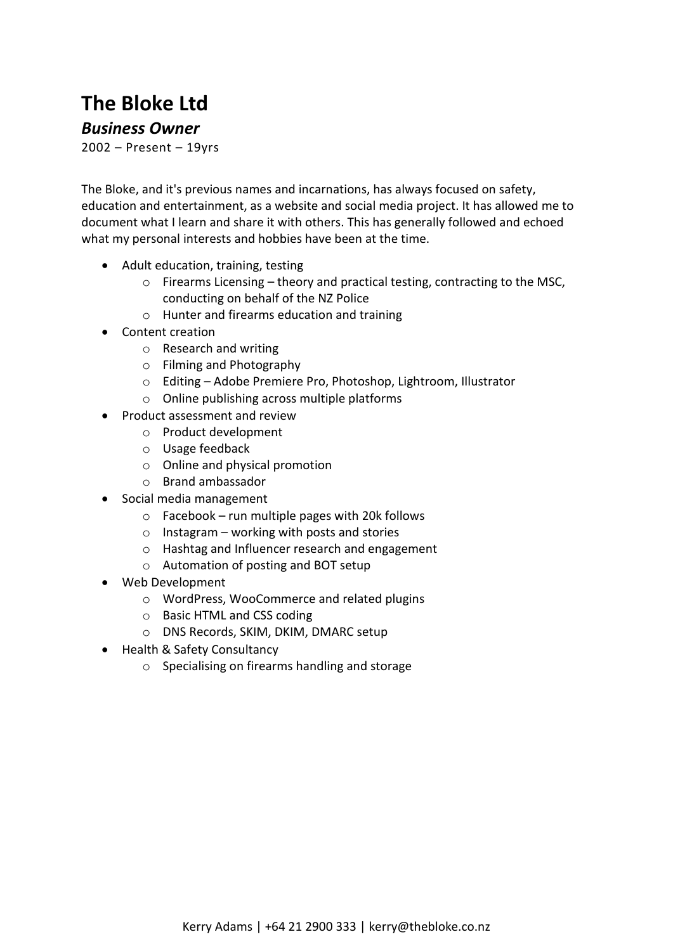# **The Bloke Ltd**

#### *Business Owner*

2002 – Present – 19yrs

The Bloke, and it's previous names and incarnations, has always focused on safety, education and entertainment, as a website and social media project. It has allowed me to document what I learn and share it with others. This has generally followed and echoed what my personal interests and hobbies have been at the time.

- Adult education, training, testing
	- o Firearms Licensing theory and practical testing, contracting to the MSC, conducting on behalf of the NZ Police
	- o Hunter and firearms education and training
- Content creation
	- o Research and writing
	- o Filming and Photography
	- o Editing Adobe Premiere Pro, Photoshop, Lightroom, Illustrator
	- o Online publishing across multiple platforms
- Product assessment and review
	- o Product development
	- o Usage feedback
	- o Online and physical promotion
	- o Brand ambassador
- Social media management
	- $\circ$  Facebook run multiple pages with 20k follows
	- $\circ$  Instagram working with posts and stories
	- o Hashtag and Influencer research and engagement
	- o Automation of posting and BOT setup
- Web Development
	- o WordPress, WooCommerce and related plugins
	- o Basic HTML and CSS coding
	- o DNS Records, SKIM, DKIM, DMARC setup
- Health & Safety Consultancy
	- o Specialising on firearms handling and storage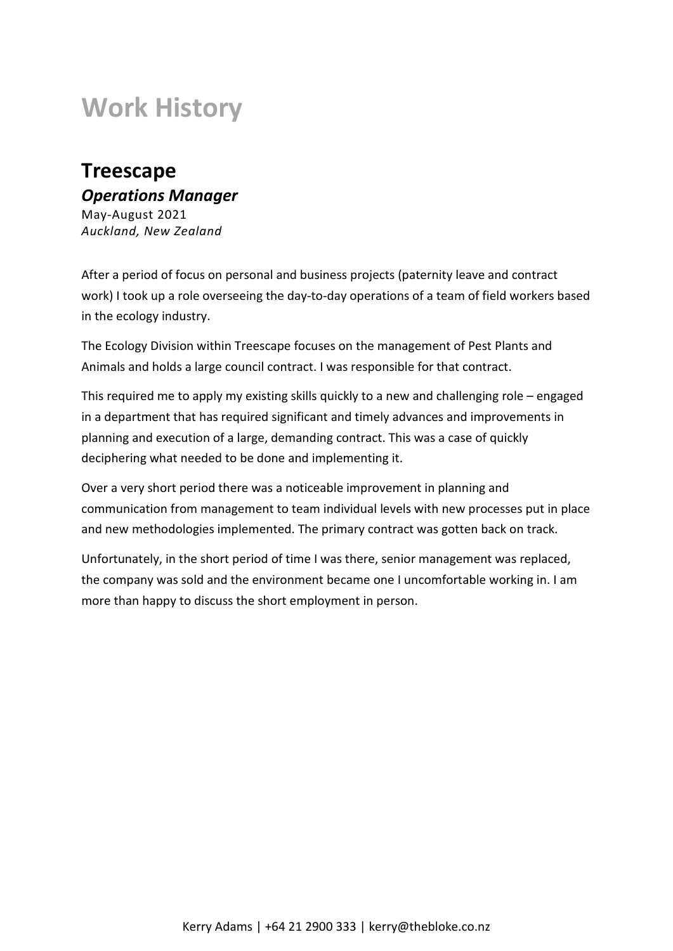# **Work History**

# **Treescape** *Operations Manager*

May-August 2021 *Auckland, New Zealand*

After a period of focus on personal and business projects (paternity leave and contract work) I took up a role overseeing the day-to-day operations of a team of field workers based in the ecology industry.

The Ecology Division within Treescape focuses on the management of Pest Plants and Animals and holds a large council contract. I was responsible for that contract.

This required me to apply my existing skills quickly to a new and challenging role – engaged in a department that has required significant and timely advances and improvements in planning and execution of a large, demanding contract. This was a case of quickly deciphering what needed to be done and implementing it.

Over a very short period there was a noticeable improvement in planning and communication from management to team individual levels with new processes put in place and new methodologies implemented. The primary contract was gotten back on track.

Unfortunately, in the short period of time I was there, senior management was replaced, the company was sold and the environment became one I uncomfortable working in. I am more than happy to discuss the short employment in person.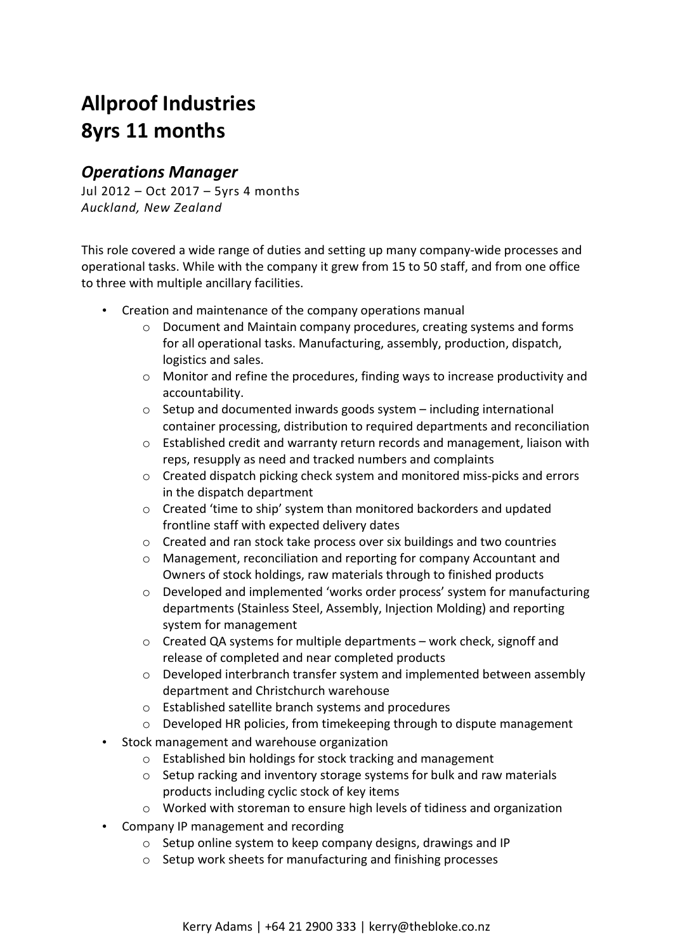# **Allproof Industries 8yrs 11 months**

## *Operations Manager*

Jul 2012 – Oct 2017 – 5yrs 4 months *Auckland, New Zealand*

This role covered a wide range of duties and setting up many company-wide processes and operational tasks. While with the company it grew from 15 to 50 staff, and from one office to three with multiple ancillary facilities.

- Creation and maintenance of the company operations manual
	- o Document and Maintain company procedures, creating systems and forms for all operational tasks. Manufacturing, assembly, production, dispatch, logistics and sales.
	- o Monitor and refine the procedures, finding ways to increase productivity and accountability.
	- o Setup and documented inwards goods system including international container processing, distribution to required departments and reconciliation
	- o Established credit and warranty return records and management, liaison with reps, resupply as need and tracked numbers and complaints
	- o Created dispatch picking check system and monitored miss-picks and errors in the dispatch department
	- o Created 'time to ship' system than monitored backorders and updated frontline staff with expected delivery dates
	- o Created and ran stock take process over six buildings and two countries
	- o Management, reconciliation and reporting for company Accountant and Owners of stock holdings, raw materials through to finished products
	- o Developed and implemented 'works order process' system for manufacturing departments (Stainless Steel, Assembly, Injection Molding) and reporting system for management
	- o Created QA systems for multiple departments work check, signoff and release of completed and near completed products
	- o Developed interbranch transfer system and implemented between assembly department and Christchurch warehouse
	- o Established satellite branch systems and procedures
	- o Developed HR policies, from timekeeping through to dispute management
- Stock management and warehouse organization
	- o Established bin holdings for stock tracking and management
	- o Setup racking and inventory storage systems for bulk and raw materials products including cyclic stock of key items
	- o Worked with storeman to ensure high levels of tidiness and organization
- Company IP management and recording
	- o Setup online system to keep company designs, drawings and IP
	- o Setup work sheets for manufacturing and finishing processes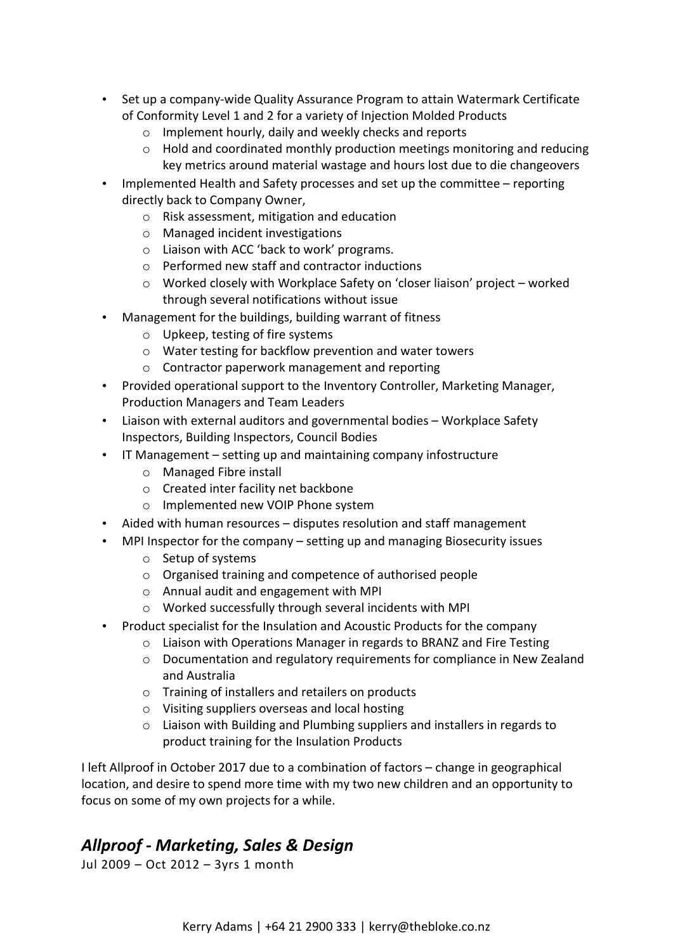- Set up a company-wide Quality Assurance Program to attain Watermark Certificate of Conformity Level 1 and 2 for a variety of Injection Molded Products
	- o Implement hourly, daily and weekly checks and reports
	- $\circ$  Hold and coordinated monthly production meetings monitoring and reducing key metrics around material wastage and hours lost due to die changeovers
- Implemented Health and Safety processes and set up the committee reporting directly back to Company Owner,
	- o Risk assessment, mitigation and education
	- o Managed incident investigations
	- o Liaison with ACC 'back to work' programs.
	- o Performed new staff and contractor inductions
	- o Worked closely with Workplace Safety on 'closer liaison' project worked through several notifications without issue
- Management for the buildings, building warrant of fitness
	- o Upkeep, testing of fire systems
	- o Water testing for backflow prevention and water towers
	- o Contractor paperwork management and reporting
- Provided operational support to the Inventory Controller, Marketing Manager, Production Managers and Team Leaders
- Liaison with external auditors and governmental bodies Workplace Safety Inspectors, Building Inspectors, Council Bodies
- IT Management setting up and maintaining company infostructure
	- o Managed Fibre install
	- o Created inter facility net backbone
	- o Implemented new VOIP Phone system
- Aided with human resources disputes resolution and staff management
- MPI Inspector for the company setting up and managing Biosecurity issues
	- o Setup of systems
	- o Organised training and competence of authorised people
	- o Annual audit and engagement with MPI
	- o Worked successfully through several incidents with MPI
- Product specialist for the Insulation and Acoustic Products for the company
	- $\circ$  Liaison with Operations Manager in regards to BRANZ and Fire Testing
	- o Documentation and regulatory requirements for compliance in New Zealand and Australia
	- o Training of installers and retailers on products
	- o Visiting suppliers overseas and local hosting
	- o Liaison with Building and Plumbing suppliers and installers in regards to product training for the Insulation Products

I left Allproof in October 2017 due to a combination of factors – change in geographical location, and desire to spend more time with my two new children and an opportunity to focus on some of my own projects for a while.

## *Allproof - Marketing, Sales & Design*

Jul 2009 – Oct 2012 – 3yrs 1 month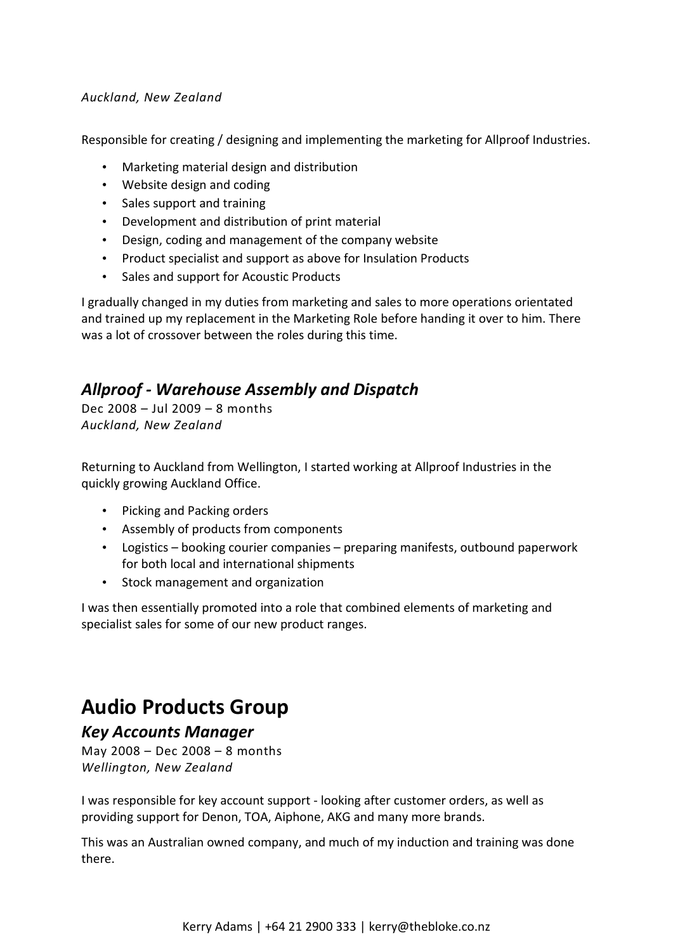#### *Auckland, New Zealand*

Responsible for creating / designing and implementing the marketing for Allproof Industries.

- Marketing material design and distribution
- Website design and coding
- Sales support and training
- Development and distribution of print material
- Design, coding and management of the company website
- Product specialist and support as above for Insulation Products
- Sales and support for Acoustic Products

I gradually changed in my duties from marketing and sales to more operations orientated and trained up my replacement in the Marketing Role before handing it over to him. There was a lot of crossover between the roles during this time.

## *Allproof - Warehouse Assembly and Dispatch*

Dec 2008 – Jul 2009 – 8 months *Auckland, New Zealand*

Returning to Auckland from Wellington, I started working at Allproof Industries in the quickly growing Auckland Office.

- Picking and Packing orders
- Assembly of products from components
- Logistics booking courier companies preparing manifests, outbound paperwork for both local and international shipments
- Stock management and organization

I was then essentially promoted into a role that combined elements of marketing and specialist sales for some of our new product ranges.

# **Audio Products Group**

#### *Key Accounts Manager*

May 2008 – Dec 2008 – 8 months *Wellington, New Zealand*

I was responsible for key account support - looking after customer orders, as well as providing support for Denon, TOA, Aiphone, AKG and many more brands.

This was an Australian owned company, and much of my induction and training was done there.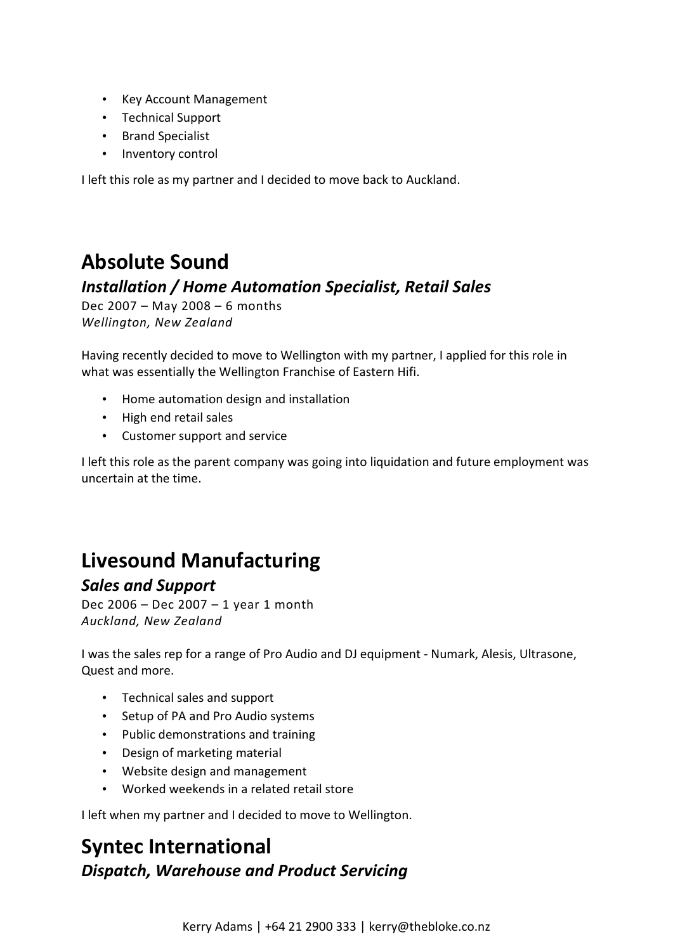- Key Account Management
- Technical Support
- Brand Specialist
- Inventory control

I left this role as my partner and I decided to move back to Auckland.

# **Absolute Sound**

## *Installation / Home Automation Specialist, Retail Sales*

Dec 2007 – May 2008 – 6 months *Wellington, New Zealand*

Having recently decided to move to Wellington with my partner, I applied for this role in what was essentially the Wellington Franchise of Eastern Hifi.

- Home automation design and installation
- High end retail sales
- Customer support and service

I left this role as the parent company was going into liquidation and future employment was uncertain at the time.

# **Livesound Manufacturing**

### *Sales and Support*

Dec 2006 – Dec 2007 – 1 year 1 month *Auckland, New Zealand*

I was the sales rep for a range of Pro Audio and DJ equipment - Numark, Alesis, Ultrasone, Quest and more.

- Technical sales and support
- Setup of PA and Pro Audio systems
- Public demonstrations and training
- Design of marketing material
- Website design and management
- Worked weekends in a related retail store

I left when my partner and I decided to move to Wellington.

# **Syntec International** *Dispatch, Warehouse and Product Servicing*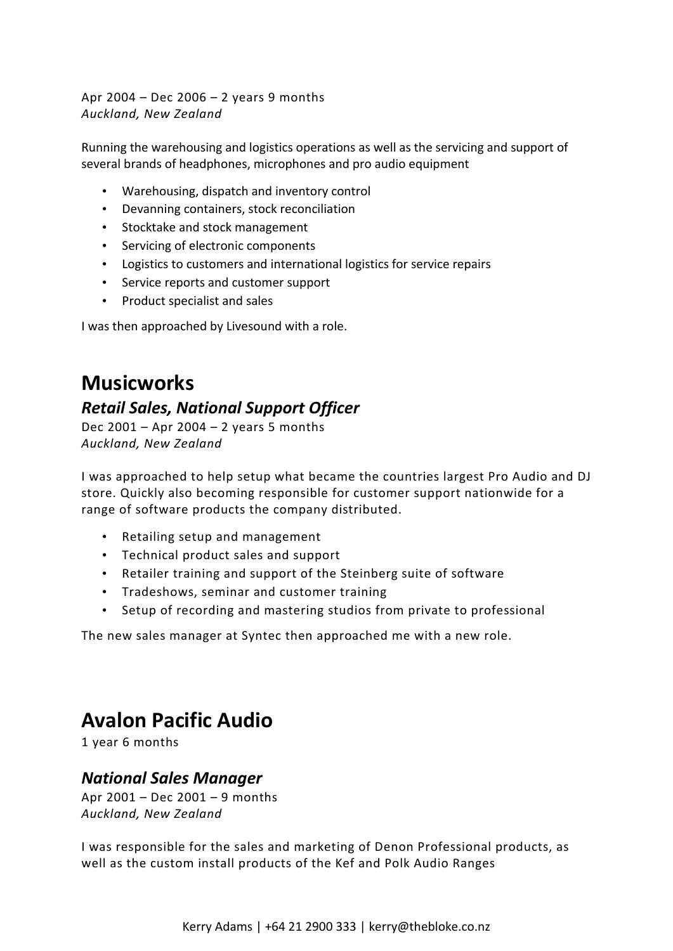Apr 2004 – Dec 2006 – 2 years 9 months *Auckland, New Zealand*

Running the warehousing and logistics operations as well as the servicing and support of several brands of headphones, microphones and pro audio equipment

- Warehousing, dispatch and inventory control
- Devanning containers, stock reconciliation
- Stocktake and stock management
- Servicing of electronic components
- Logistics to customers and international logistics for service repairs
- Service reports and customer support
- Product specialist and sales

I was then approached by Livesound with a role.

## **Musicworks**

### *Retail Sales, National Support Officer*

Dec 2001 – Apr 2004 – 2 years 5 months *Auckland, New Zealand*

I was approached to help setup what became the countries largest Pro Audio and DJ store. Quickly also becoming responsible for customer support nationwide for a range of software products the company distributed.

- Retailing setup and management
- Technical product sales and support
- Retailer training and support of the Steinberg suite of software
- Tradeshows, seminar and customer training
- Setup of recording and mastering studios from private to professional

The new sales manager at Syntec then approached me with a new role.

## **Avalon Pacific Audio**

1 year 6 months

### *National Sales Manager*

Apr 2001 – Dec 2001 – 9 months *Auckland, New Zealand*

I was responsible for the sales and marketing of Denon Professional products, as well as the custom install products of the Kef and Polk Audio Ranges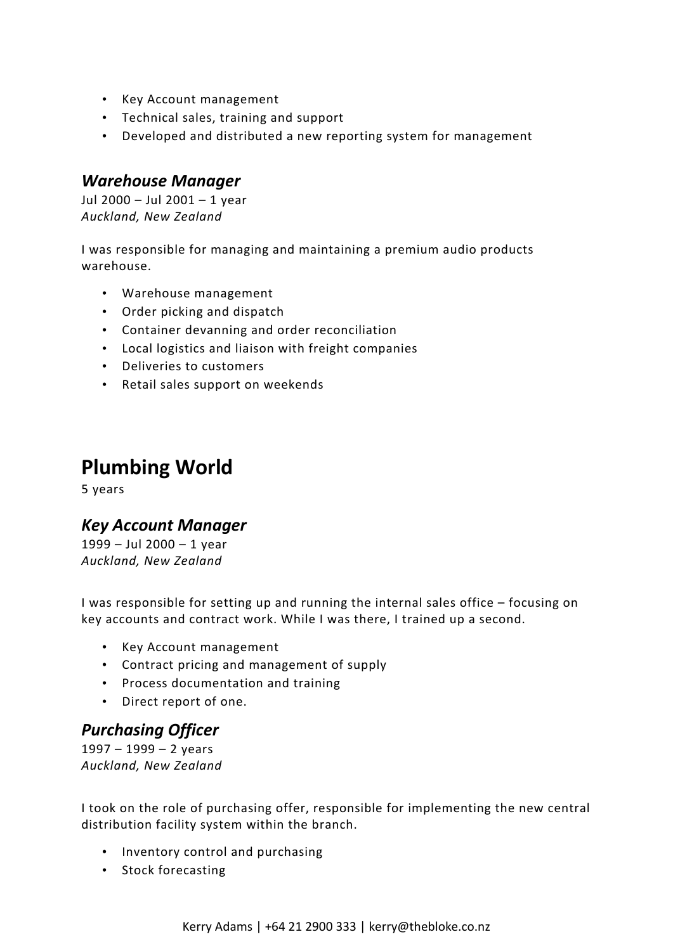- Key Account management
- Technical sales, training and support
- Developed and distributed a new reporting system for management

#### *Warehouse Manager*

Jul 2000 – Jul 2001 – 1 year *Auckland, New Zealand*

I was responsible for managing and maintaining a premium audio products warehouse.

- Warehouse management
- Order picking and dispatch
- Container devanning and order reconciliation
- Local logistics and liaison with freight companies
- Deliveries to customers
- Retail sales support on weekends

## **Plumbing World**

5 years

## *Key Account Manager*

1999 – Jul 2000 – 1 year *Auckland, New Zealand*

I was responsible for setting up and running the internal sales office – focusing on key accounts and contract work. While I was there, I trained up a second.

- Key Account management
- Contract pricing and management of supply
- Process documentation and training
- Direct report of one.

### *Purchasing Officer*

1997 – 1999 – 2 years *Auckland, New Zealand*

I took on the role of purchasing offer, responsible for implementing the new central distribution facility system within the branch.

- Inventory control and purchasing
- Stock forecasting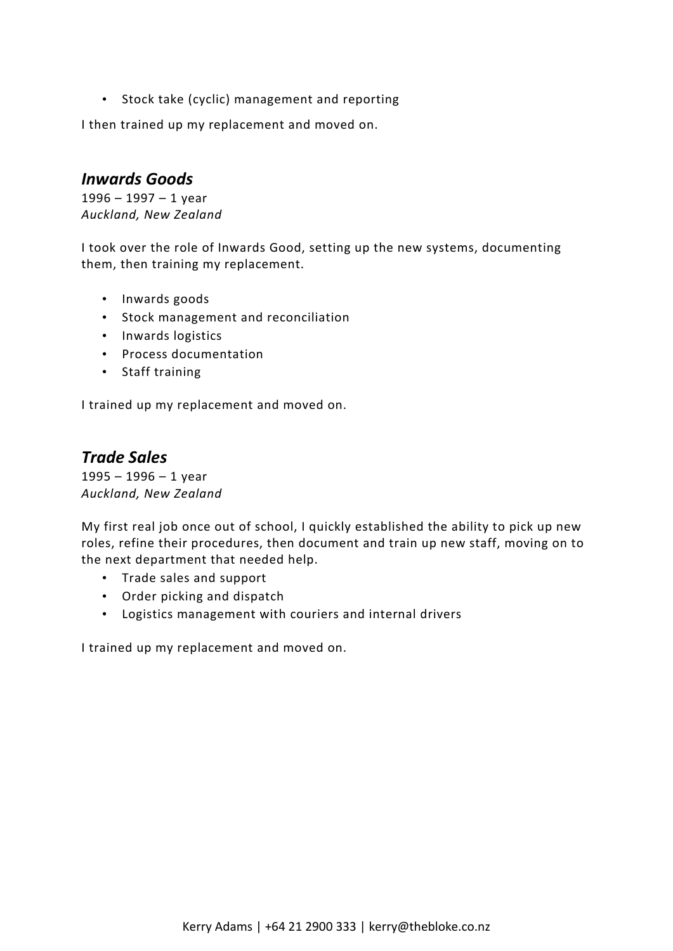• Stock take (cyclic) management and reporting

I then trained up my replacement and moved on.

### *Inwards Goods*

1996 – 1997 – 1 year *Auckland, New Zealand*

I took over the role of Inwards Good, setting up the new systems, documenting them, then training my replacement.

- Inwards goods
- Stock management and reconciliation
- Inwards logistics
- Process documentation
- Staff training

I trained up my replacement and moved on.

### *Trade Sales*

1995 – 1996 – 1 year *Auckland, New Zealand*

My first real job once out of school, I quickly established the ability to pick up new roles, refine their procedures, then document and train up new staff, moving on to the next department that needed help.

- Trade sales and support
- Order picking and dispatch
- Logistics management with couriers and internal drivers

I trained up my replacement and moved on.